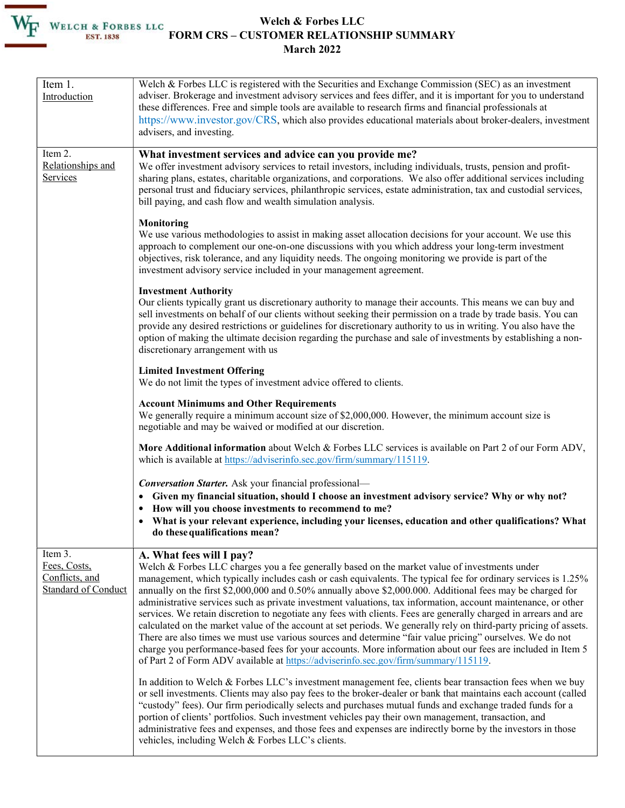## Welch & Forbes LLC FORM CRS – CUSTOMER RELATIONSHIP SUMMARY March 2022

| Item 1.<br>Introduction                                                 | Welch & Forbes LLC is registered with the Securities and Exchange Commission (SEC) as an investment<br>adviser. Brokerage and investment advisory services and fees differ, and it is important for you to understand<br>these differences. Free and simple tools are available to research firms and financial professionals at<br>https://www.investor.gov/CRS, which also provides educational materials about broker-dealers, investment<br>advisers, and investing.                                                                                                                                                                                                                                                                                                                                                                                                                                                                                                                                                             |
|-------------------------------------------------------------------------|--------------------------------------------------------------------------------------------------------------------------------------------------------------------------------------------------------------------------------------------------------------------------------------------------------------------------------------------------------------------------------------------------------------------------------------------------------------------------------------------------------------------------------------------------------------------------------------------------------------------------------------------------------------------------------------------------------------------------------------------------------------------------------------------------------------------------------------------------------------------------------------------------------------------------------------------------------------------------------------------------------------------------------------|
| Item 2.<br>Relationships and<br>Services                                | What investment services and advice can you provide me?<br>We offer investment advisory services to retail investors, including individuals, trusts, pension and profit-<br>sharing plans, estates, charitable organizations, and corporations. We also offer additional services including<br>personal trust and fiduciary services, philanthropic services, estate administration, tax and custodial services,<br>bill paying, and cash flow and wealth simulation analysis.                                                                                                                                                                                                                                                                                                                                                                                                                                                                                                                                                       |
|                                                                         | Monitoring<br>We use various methodologies to assist in making asset allocation decisions for your account. We use this<br>approach to complement our one-on-one discussions with you which address your long-term investment<br>objectives, risk tolerance, and any liquidity needs. The ongoing monitoring we provide is part of the<br>investment advisory service included in your management agreement.                                                                                                                                                                                                                                                                                                                                                                                                                                                                                                                                                                                                                         |
|                                                                         | <b>Investment Authority</b><br>Our clients typically grant us discretionary authority to manage their accounts. This means we can buy and<br>sell investments on behalf of our clients without seeking their permission on a trade by trade basis. You can<br>provide any desired restrictions or guidelines for discretionary authority to us in writing. You also have the<br>option of making the ultimate decision regarding the purchase and sale of investments by establishing a non-<br>discretionary arrangement with us                                                                                                                                                                                                                                                                                                                                                                                                                                                                                                    |
|                                                                         | <b>Limited Investment Offering</b><br>We do not limit the types of investment advice offered to clients.                                                                                                                                                                                                                                                                                                                                                                                                                                                                                                                                                                                                                                                                                                                                                                                                                                                                                                                             |
|                                                                         | <b>Account Minimums and Other Requirements</b><br>We generally require a minimum account size of \$2,000,000. However, the minimum account size is<br>negotiable and may be waived or modified at our discretion.                                                                                                                                                                                                                                                                                                                                                                                                                                                                                                                                                                                                                                                                                                                                                                                                                    |
|                                                                         | More Additional information about Welch & Forbes LLC services is available on Part 2 of our Form ADV,<br>which is available at https://adviserinfo.sec.gov/firm/summary/115119.                                                                                                                                                                                                                                                                                                                                                                                                                                                                                                                                                                                                                                                                                                                                                                                                                                                      |
|                                                                         | <b>Conversation Starter.</b> Ask your financial professional-<br>• Given my financial situation, should I choose an investment advisory service? Why or why not?<br>How will you choose investments to recommend to me?<br>• What is your relevant experience, including your licenses, education and other qualifications? What<br>do these qualifications mean?                                                                                                                                                                                                                                                                                                                                                                                                                                                                                                                                                                                                                                                                    |
| Item 3.<br>Fees, Costs,<br>Conflicts, and<br><b>Standard of Conduct</b> | A. What fees will I pay?<br>Welch & Forbes LLC charges you a fee generally based on the market value of investments under<br>management, which typically includes cash or cash equivalents. The typical fee for ordinary services is 1.25%<br>annually on the first \$2,000,000 and 0.50% annually above \$2,000.000. Additional fees may be charged for<br>administrative services such as private investment valuations, tax information, account maintenance, or other<br>services. We retain discretion to negotiate any fees with clients. Fees are generally charged in arrears and are<br>calculated on the market value of the account at set periods. We generally rely on third-party pricing of assets.<br>There are also times we must use various sources and determine "fair value pricing" ourselves. We do not<br>charge you performance-based fees for your accounts. More information about our fees are included in Item 5<br>of Part 2 of Form ADV available at https://adviserinfo.sec.gov/firm/summary/115119. |
|                                                                         | In addition to Welch & Forbes LLC's investment management fee, clients bear transaction fees when we buy<br>or sell investments. Clients may also pay fees to the broker-dealer or bank that maintains each account (called<br>"custody" fees). Our firm periodically selects and purchases mutual funds and exchange traded funds for a<br>portion of clients' portfolios. Such investment vehicles pay their own management, transaction, and<br>administrative fees and expenses, and those fees and expenses are indirectly borne by the investors in those<br>vehicles, including Welch & Forbes LLC's clients.                                                                                                                                                                                                                                                                                                                                                                                                                 |